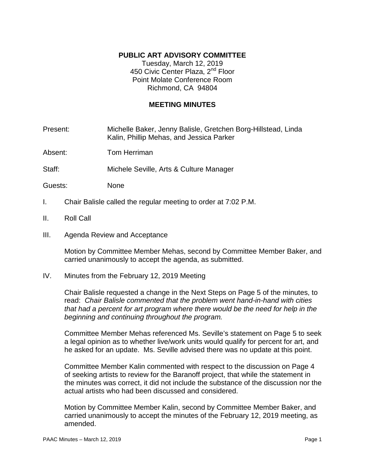# **PUBLIC ART ADVISORY COMMITTEE**

Tuesday, March 12, 2019 450 Civic Center Plaza, 2<sup>nd</sup> Floor Point Molate Conference Room Richmond, CA 94804

## **MEETING MINUTES**

Present: Michelle Baker, Jenny Balisle, Gretchen Borg-Hillstead, Linda Kalin, Phillip Mehas, and Jessica Parker

Absent: Tom Herriman

Staff: Michele Seville, Arts & Culture Manager

Guests: None

- I. Chair Balisle called the regular meeting to order at 7:02 P.M.
- II. Roll Call
- III. Agenda Review and Acceptance

Motion by Committee Member Mehas, second by Committee Member Baker, and carried unanimously to accept the agenda, as submitted.

IV. Minutes from the February 12, 2019 Meeting

Chair Balisle requested a change in the Next Steps on Page 5 of the minutes, to read: *Chair Balisle commented that the problem went hand-in-hand with cities that had a percent for art program where there would be the need for help in the beginning and continuing throughout the program.* 

Committee Member Mehas referenced Ms. Seville's statement on Page 5 to seek a legal opinion as to whether live/work units would qualify for percent for art, and he asked for an update. Ms. Seville advised there was no update at this point.

Committee Member Kalin commented with respect to the discussion on Page 4 of seeking artists to review for the Baranoff project, that while the statement in the minutes was correct, it did not include the substance of the discussion nor the actual artists who had been discussed and considered.

Motion by Committee Member Kalin, second by Committee Member Baker, and carried unanimously to accept the minutes of the February 12, 2019 meeting, as amended.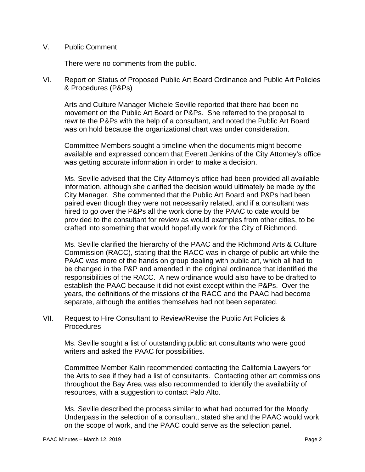## V. Public Comment

There were no comments from the public.

VI. Report on Status of Proposed Public Art Board Ordinance and Public Art Policies & Procedures (P&Ps)

Arts and Culture Manager Michele Seville reported that there had been no movement on the Public Art Board or P&Ps. She referred to the proposal to rewrite the P&Ps with the help of a consultant, and noted the Public Art Board was on hold because the organizational chart was under consideration.

Committee Members sought a timeline when the documents might become available and expressed concern that Everett Jenkins of the City Attorney's office was getting accurate information in order to make a decision.

Ms. Seville advised that the City Attorney's office had been provided all available information, although she clarified the decision would ultimately be made by the City Manager. She commented that the Public Art Board and P&Ps had been paired even though they were not necessarily related, and if a consultant was hired to go over the P&Ps all the work done by the PAAC to date would be provided to the consultant for review as would examples from other cities, to be crafted into something that would hopefully work for the City of Richmond.

Ms. Seville clarified the hierarchy of the PAAC and the Richmond Arts & Culture Commission (RACC), stating that the RACC was in charge of public art while the PAAC was more of the hands on group dealing with public art, which all had to be changed in the P&P and amended in the original ordinance that identified the responsibilities of the RACC. A new ordinance would also have to be drafted to establish the PAAC because it did not exist except within the P&Ps. Over the years, the definitions of the missions of the RACC and the PAAC had become separate, although the entities themselves had not been separated.

VII. Request to Hire Consultant to Review/Revise the Public Art Policies & **Procedures** 

Ms. Seville sought a list of outstanding public art consultants who were good writers and asked the PAAC for possibilities.

Committee Member Kalin recommended contacting the California Lawyers for the Arts to see if they had a list of consultants. Contacting other art commissions throughout the Bay Area was also recommended to identify the availability of resources, with a suggestion to contact Palo Alto.

Ms. Seville described the process similar to what had occurred for the Moody Underpass in the selection of a consultant, stated she and the PAAC would work on the scope of work, and the PAAC could serve as the selection panel.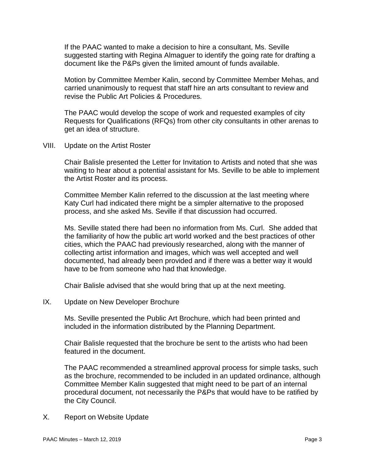If the PAAC wanted to make a decision to hire a consultant, Ms. Seville suggested starting with Regina Almaguer to identify the going rate for drafting a document like the P&Ps given the limited amount of funds available.

Motion by Committee Member Kalin, second by Committee Member Mehas, and carried unanimously to request that staff hire an arts consultant to review and revise the Public Art Policies & Procedures.

The PAAC would develop the scope of work and requested examples of city Requests for Qualifications (RFQs) from other city consultants in other arenas to get an idea of structure.

VIII. Update on the Artist Roster

Chair Balisle presented the Letter for Invitation to Artists and noted that she was waiting to hear about a potential assistant for Ms. Seville to be able to implement the Artist Roster and its process.

Committee Member Kalin referred to the discussion at the last meeting where Katy Curl had indicated there might be a simpler alternative to the proposed process, and she asked Ms. Seville if that discussion had occurred.

Ms. Seville stated there had been no information from Ms. Curl. She added that the familiarity of how the public art world worked and the best practices of other cities, which the PAAC had previously researched, along with the manner of collecting artist information and images, which was well accepted and well documented, had already been provided and if there was a better way it would have to be from someone who had that knowledge.

Chair Balisle advised that she would bring that up at the next meeting.

IX. Update on New Developer Brochure

Ms. Seville presented the Public Art Brochure, which had been printed and included in the information distributed by the Planning Department.

Chair Balisle requested that the brochure be sent to the artists who had been featured in the document.

The PAAC recommended a streamlined approval process for simple tasks, such as the brochure, recommended to be included in an updated ordinance, although Committee Member Kalin suggested that might need to be part of an internal procedural document, not necessarily the P&Ps that would have to be ratified by the City Council.

X. Report on Website Update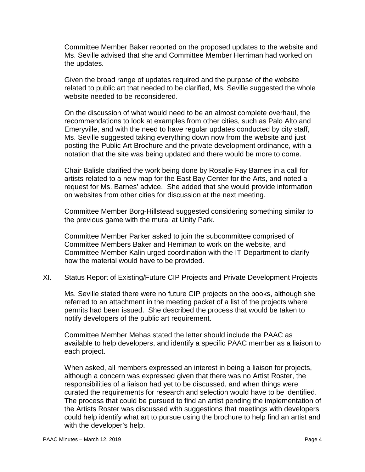Committee Member Baker reported on the proposed updates to the website and Ms. Seville advised that she and Committee Member Herriman had worked on the updates.

Given the broad range of updates required and the purpose of the website related to public art that needed to be clarified, Ms. Seville suggested the whole website needed to be reconsidered.

On the discussion of what would need to be an almost complete overhaul, the recommendations to look at examples from other cities, such as Palo Alto and Emeryville, and with the need to have regular updates conducted by city staff, Ms. Seville suggested taking everything down now from the website and just posting the Public Art Brochure and the private development ordinance, with a notation that the site was being updated and there would be more to come.

Chair Balisle clarified the work being done by Rosalie Fay Barnes in a call for artists related to a new map for the East Bay Center for the Arts, and noted a request for Ms. Barnes' advice. She added that she would provide information on websites from other cities for discussion at the next meeting.

Committee Member Borg-Hillstead suggested considering something similar to the previous game with the mural at Unity Park.

Committee Member Parker asked to join the subcommittee comprised of Committee Members Baker and Herriman to work on the website, and Committee Member Kalin urged coordination with the IT Department to clarify how the material would have to be provided.

XI. Status Report of Existing/Future CIP Projects and Private Development Projects

Ms. Seville stated there were no future CIP projects on the books, although she referred to an attachment in the meeting packet of a list of the projects where permits had been issued. She described the process that would be taken to notify developers of the public art requirement.

Committee Member Mehas stated the letter should include the PAAC as available to help developers, and identify a specific PAAC member as a liaison to each project.

When asked, all members expressed an interest in being a liaison for projects, although a concern was expressed given that there was no Artist Roster, the responsibilities of a liaison had yet to be discussed, and when things were curated the requirements for research and selection would have to be identified. The process that could be pursued to find an artist pending the implementation of the Artists Roster was discussed with suggestions that meetings with developers could help identify what art to pursue using the brochure to help find an artist and with the developer's help.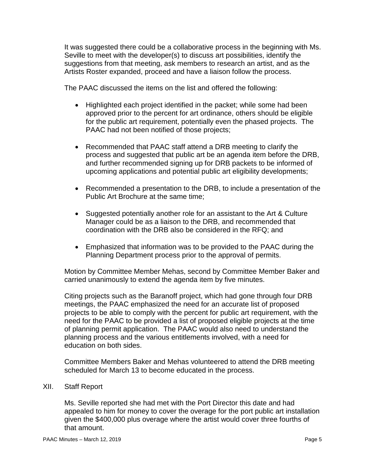It was suggested there could be a collaborative process in the beginning with Ms. Seville to meet with the developer(s) to discuss art possibilities, identify the suggestions from that meeting, ask members to research an artist, and as the Artists Roster expanded, proceed and have a liaison follow the process.

The PAAC discussed the items on the list and offered the following:

- Highlighted each project identified in the packet; while some had been approved prior to the percent for art ordinance, others should be eligible for the public art requirement, potentially even the phased projects. The PAAC had not been notified of those projects;
- Recommended that PAAC staff attend a DRB meeting to clarify the process and suggested that public art be an agenda item before the DRB, and further recommended signing up for DRB packets to be informed of upcoming applications and potential public art eligibility developments;
- Recommended a presentation to the DRB, to include a presentation of the Public Art Brochure at the same time;
- Suggested potentially another role for an assistant to the Art & Culture Manager could be as a liaison to the DRB, and recommended that coordination with the DRB also be considered in the RFQ; and
- Emphasized that information was to be provided to the PAAC during the Planning Department process prior to the approval of permits.

Motion by Committee Member Mehas, second by Committee Member Baker and carried unanimously to extend the agenda item by five minutes.

Citing projects such as the Baranoff project, which had gone through four DRB meetings, the PAAC emphasized the need for an accurate list of proposed projects to be able to comply with the percent for public art requirement, with the need for the PAAC to be provided a list of proposed eligible projects at the time of planning permit application. The PAAC would also need to understand the planning process and the various entitlements involved, with a need for education on both sides.

Committee Members Baker and Mehas volunteered to attend the DRB meeting scheduled for March 13 to become educated in the process.

### XII. Staff Report

Ms. Seville reported she had met with the Port Director this date and had appealed to him for money to cover the overage for the port public art installation given the \$400,000 plus overage where the artist would cover three fourths of that amount.